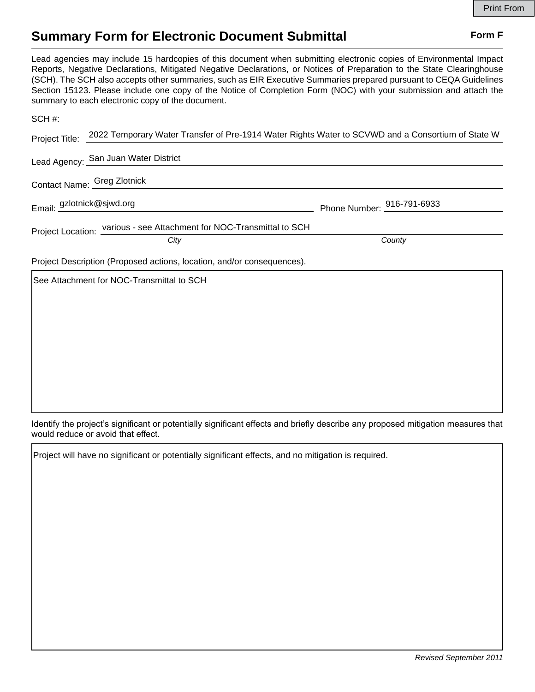## **Summary Form for Electronic Document Submittal Form F Form F**

Lead agencies may include 15 hardcopies of this document when submitting electronic copies of Environmental Impact Reports, Negative Declarations, Mitigated Negative Declarations, or Notices of Preparation to the State Clearinghouse (SCH). The SCH also accepts other summaries, such as EIR Executive Summaries prepared pursuant to CEQA Guidelines Section 15123. Please include one copy of the Notice of Completion Form (NOC) with your submission and attach the summary to each electronic copy of the document.

| Project Title: 2022 Temporary Water Transfer of Pre-1914 Water Rights Water to SCVWD and a Consortium of State W |                            |
|------------------------------------------------------------------------------------------------------------------|----------------------------|
| Lead Agency: San Juan Water District                                                                             |                            |
| Contact Name: Greg Zlotnick                                                                                      |                            |
| Email: gzlotnick@sjwd.org                                                                                        | Phone Number: 916-791-6933 |
| Project Location: various - see Attachment for NOC-Transmittal to SCH                                            |                            |
| City                                                                                                             | County                     |
| Project Description (Proposed actions, location, and/or consequences).                                           |                            |
| See Attachment for NOC-Transmittal to SCH                                                                        |                            |
|                                                                                                                  |                            |
|                                                                                                                  |                            |
|                                                                                                                  |                            |
|                                                                                                                  |                            |

Identify the project's significant or potentially significant effects and briefly describe any proposed mitigation measures that would reduce or avoid that effect.

Project will have no significant or potentially significant effects, and no mitigation is required.